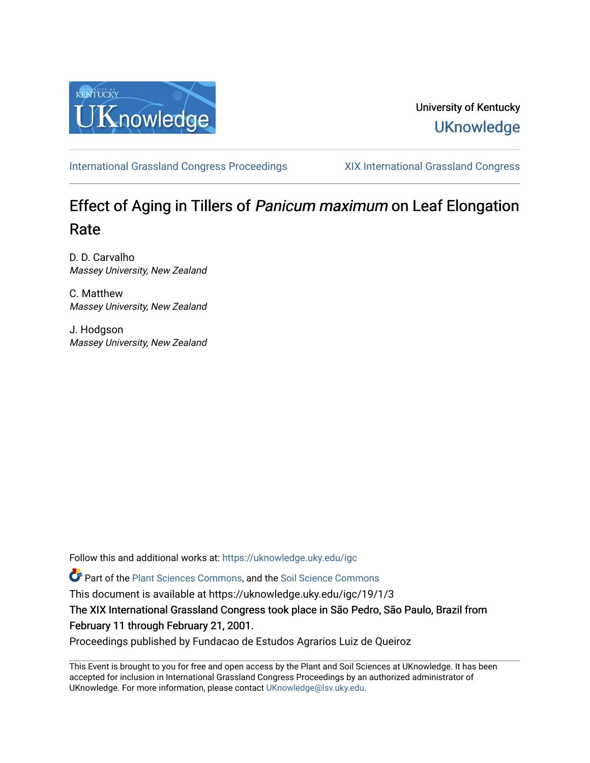

## University of Kentucky **UKnowledge**

[International Grassland Congress Proceedings](https://uknowledge.uky.edu/igc) [XIX International Grassland Congress](https://uknowledge.uky.edu/igc/19) 

# Effect of Aging in Tillers of Panicum maximum on Leaf Elongation Rate

D. D. Carvalho Massey University, New Zealand

C. Matthew Massey University, New Zealand

J. Hodgson Massey University, New Zealand

Follow this and additional works at: [https://uknowledge.uky.edu/igc](https://uknowledge.uky.edu/igc?utm_source=uknowledge.uky.edu%2Figc%2F19%2F1%2F3&utm_medium=PDF&utm_campaign=PDFCoverPages) 

Part of the [Plant Sciences Commons](http://network.bepress.com/hgg/discipline/102?utm_source=uknowledge.uky.edu%2Figc%2F19%2F1%2F3&utm_medium=PDF&utm_campaign=PDFCoverPages), and the [Soil Science Commons](http://network.bepress.com/hgg/discipline/163?utm_source=uknowledge.uky.edu%2Figc%2F19%2F1%2F3&utm_medium=PDF&utm_campaign=PDFCoverPages) 

This document is available at https://uknowledge.uky.edu/igc/19/1/3

The XIX International Grassland Congress took place in São Pedro, São Paulo, Brazil from February 11 through February 21, 2001.

Proceedings published by Fundacao de Estudos Agrarios Luiz de Queiroz

This Event is brought to you for free and open access by the Plant and Soil Sciences at UKnowledge. It has been accepted for inclusion in International Grassland Congress Proceedings by an authorized administrator of UKnowledge. For more information, please contact [UKnowledge@lsv.uky.edu](mailto:UKnowledge@lsv.uky.edu).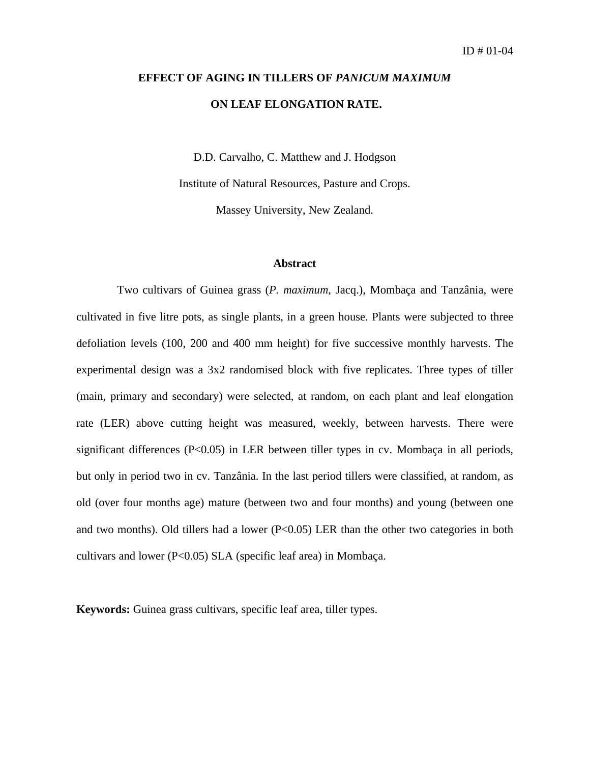# **EFFECT OF AGING IN TILLERS OF** *PANICUM MAXIMUM*  **ON LEAF ELONGATION RATE.**

D.D. Carvalho, C. Matthew and J. Hodgson

Institute of Natural Resources, Pasture and Crops.

Massey University, New Zealand.

### **Abstract**

Two cultivars of Guinea grass (*P. maximum*, Jacq.), Mombaça and Tanzânia, were cultivated in five litre pots, as single plants, in a green house. Plants were subjected to three defoliation levels (100, 200 and 400 mm height) for five successive monthly harvests. The experimental design was a 3x2 randomised block with five replicates. Three types of tiller (main, primary and secondary) were selected, at random, on each plant and leaf elongation rate (LER) above cutting height was measured, weekly, between harvests. There were significant differences (P<0.05) in LER between tiller types in cv. Mombaça in all periods, but only in period two in cv. Tanzânia. In the last period tillers were classified, at random, as old (over four months age) mature (between two and four months) and young (between one and two months). Old tillers had a lower  $(P<0.05)$  LER than the other two categories in both cultivars and lower (P<0.05) SLA (specific leaf area) in Mombaça.

**Keywords:** Guinea grass cultivars, specific leaf area, tiller types.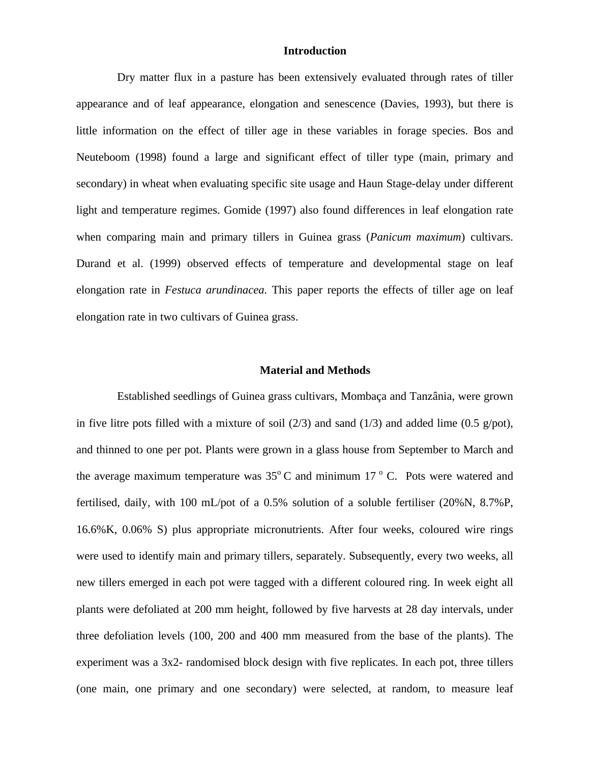### **Introduction**

Dry matter flux in a pasture has been extensively evaluated through rates of tiller appearance and of leaf appearance, elongation and senescence (Davies, 1993), but there is little information on the effect of tiller age in these variables in forage species. Bos and Neuteboom (1998) found a large and significant effect of tiller type (main, primary and secondary) in wheat when evaluating specific site usage and Haun Stage-delay under different light and temperature regimes. Gomide (1997) also found differences in leaf elongation rate when comparing main and primary tillers in Guinea grass (*Panicum maximum*) cultivars. Durand et al. (1999) observed effects of temperature and developmental stage on leaf elongation rate in *Festuca arundinacea.* This paper reports the effects of tiller age on leaf elongation rate in two cultivars of Guinea grass.

#### **Material and Methods**

Established seedlings of Guinea grass cultivars, Mombaça and Tanzânia, were grown in five litre pots filled with a mixture of soil  $(2/3)$  and sand  $(1/3)$  and added lime  $(0.5 \text{ g}/\text{pot})$ , and thinned to one per pot. Plants were grown in a glass house from September to March and the average maximum temperature was  $35^{\circ}$ C and minimum  $17^{\circ}$ C. Pots were watered and fertilised, daily, with 100 mL/pot of a 0.5% solution of a soluble fertiliser (20%N, 8.7%P, 16.6%K, 0.06% S) plus appropriate micronutrients. After four weeks, coloured wire rings were used to identify main and primary tillers, separately. Subsequently, every two weeks, all new tillers emerged in each pot were tagged with a different coloured ring. In week eight all plants were defoliated at 200 mm height, followed by five harvests at 28 day intervals, under three defoliation levels (100, 200 and 400 mm measured from the base of the plants). The experiment was a 3x2- randomised block design with five replicates. In each pot, three tillers (one main, one primary and one secondary) were selected, at random, to measure leaf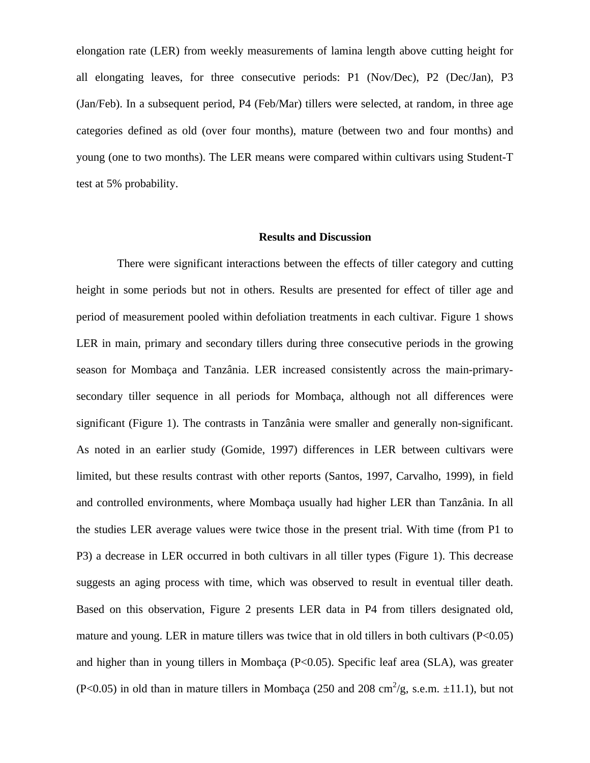elongation rate (LER) from weekly measurements of lamina length above cutting height for all elongating leaves, for three consecutive periods: P1 (Nov/Dec), P2 (Dec/Jan), P3 (Jan/Feb). In a subsequent period, P4 (Feb/Mar) tillers were selected, at random, in three age categories defined as old (over four months), mature (between two and four months) and young (one to two months). The LER means were compared within cultivars using Student-T test at 5% probability.

#### **Results and Discussion**

There were significant interactions between the effects of tiller category and cutting height in some periods but not in others. Results are presented for effect of tiller age and period of measurement pooled within defoliation treatments in each cultivar. Figure 1 shows LER in main, primary and secondary tillers during three consecutive periods in the growing season for Mombaça and Tanzânia. LER increased consistently across the main-primarysecondary tiller sequence in all periods for Mombaça, although not all differences were significant (Figure 1). The contrasts in Tanzânia were smaller and generally non-significant. As noted in an earlier study (Gomide, 1997) differences in LER between cultivars were limited, but these results contrast with other reports (Santos, 1997, Carvalho, 1999), in field and controlled environments, where Mombaça usually had higher LER than Tanzânia. In all the studies LER average values were twice those in the present trial. With time (from P1 to P3) a decrease in LER occurred in both cultivars in all tiller types (Figure 1). This decrease suggests an aging process with time, which was observed to result in eventual tiller death. Based on this observation, Figure 2 presents LER data in P4 from tillers designated old, mature and young. LER in mature tillers was twice that in old tillers in both cultivars  $(P<0.05)$ and higher than in young tillers in Mombaça (P<0.05). Specific leaf area (SLA), was greater (P<0.05) in old than in mature tillers in Mombaça (250 and 208 cm<sup>2</sup>/g, s.e.m.  $\pm$ 11.1), but not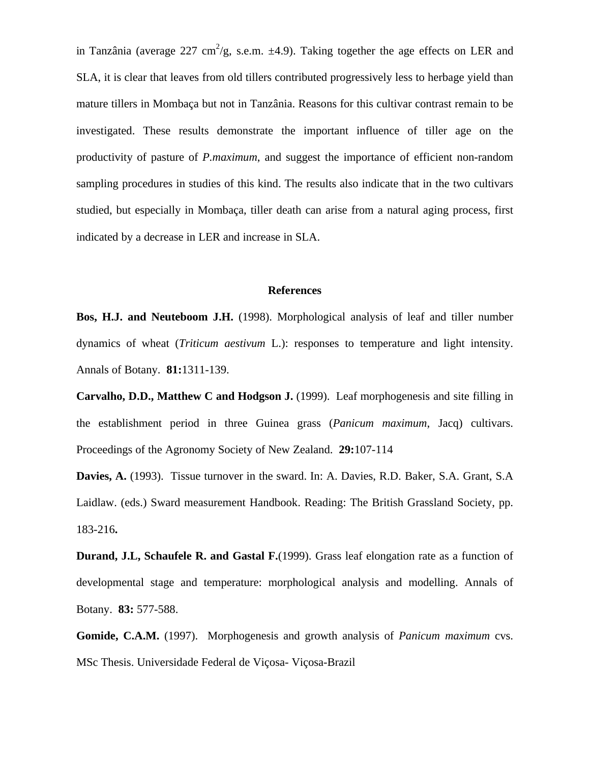in Tanzânia (average 227 cm<sup>2</sup>/g, s.e.m.  $\pm$ 4.9). Taking together the age effects on LER and SLA, it is clear that leaves from old tillers contributed progressively less to herbage yield than mature tillers in Mombaça but not in Tanzânia. Reasons for this cultivar contrast remain to be investigated. These results demonstrate the important influence of tiller age on the productivity of pasture of *P.maximum*, and suggest the importance of efficient non-random sampling procedures in studies of this kind. The results also indicate that in the two cultivars studied, but especially in Mombaça, tiller death can arise from a natural aging process, first indicated by a decrease in LER and increase in SLA.

#### **References**

**Bos, H.J. and Neuteboom J.H.** (1998). Morphological analysis of leaf and tiller number dynamics of wheat (*Triticum aestivum* L.): responses to temperature and light intensity. Annals of Botany. **81:**1311-139.

**Carvalho, D.D., Matthew C and Hodgson J.** (1999). Leaf morphogenesis and site filling in the establishment period in three Guinea grass (*Panicum maximum*, Jacq) cultivars. Proceedings of the Agronomy Society of New Zealand. **29:**107-114

**Davies, A.** (1993). Tissue turnover in the sward. In: A. Davies, R.D. Baker, S.A. Grant, S.A Laidlaw. (eds.) Sward measurement Handbook. Reading: The British Grassland Society, pp. 183-216**.**

**Durand, J.L, Schaufele R. and Gastal F.**(1999). Grass leaf elongation rate as a function of developmental stage and temperature: morphological analysis and modelling. Annals of Botany. **83:** 577-588.

**Gomide, C.A.M.** (1997). Morphogenesis and growth analysis of *Panicum maximum* cvs. MSc Thesis. Universidade Federal de Viçosa- Viçosa-Brazil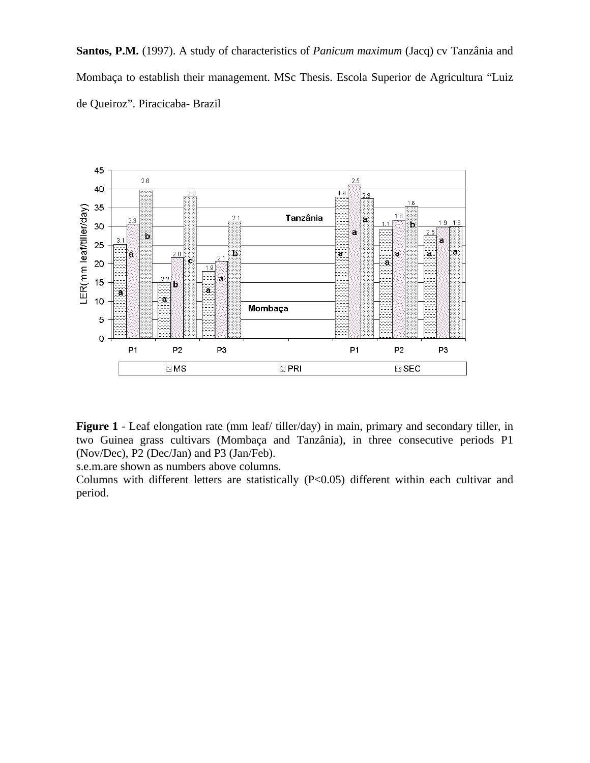**Santos, P.M.** (1997). A study of characteristics of *Panicum maximum* (Jacq) cv Tanzânia and Mombaça to establish their management. MSc Thesis. Escola Superior de Agricultura "Luiz de Queiroz". Piracicaba- Brazil



**Figure 1** - Leaf elongation rate (mm leaf/ tiller/day) in main, primary and secondary tiller, in two Guinea grass cultivars (Mombaça and Tanzânia), in three consecutive periods P1 (Nov/Dec), P2 (Dec/Jan) and P3 (Jan/Feb).

s.e.m.are shown as numbers above columns.

Columns with different letters are statistically (P<0.05) different within each cultivar and period.